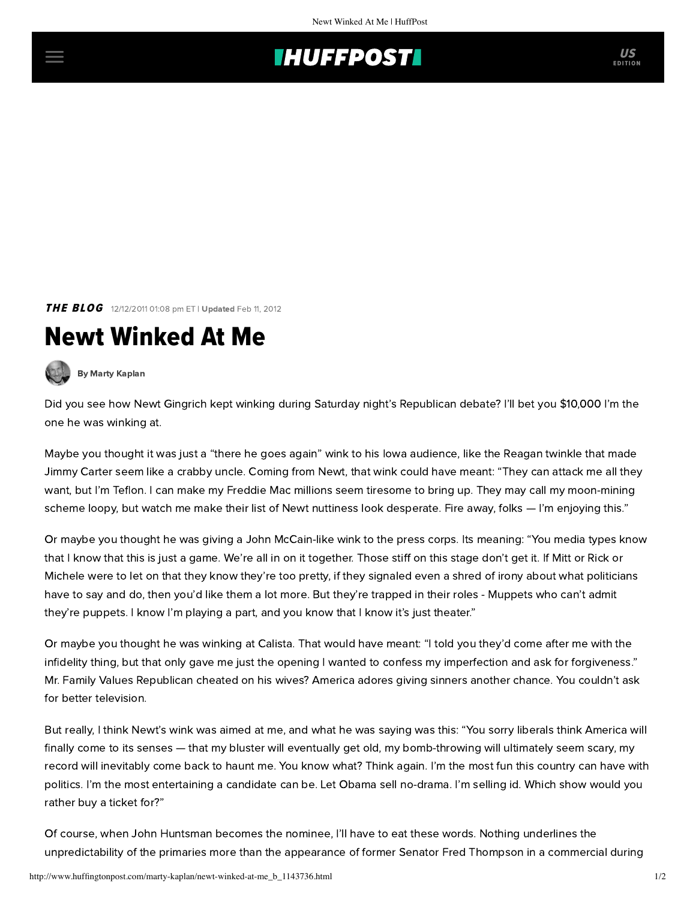## **THUFFPOSTI** US

THE BLOG 12/12/2011 01:08 pm ET | Updated Feb 11, 2012

## Newt Winked At Me

[By Marty Kaplan](http://www.huffingtonpost.com/author/marty-kaplan)

Did you see how Newt Gingrich kept winking during Saturday night's Republican debate? I'll bet you [\\$10,000](http://thecaucus.blogs.nytimes.com/2011/12/11/romneys-10000-bet-offer-reverberates/) I'm the one he was winking at.

Maybe you thought it was just a "there he goes again" wink to his Iowa audience, like the Reagan twinkle that made Jimmy Carter seem like a crabby uncle. Coming from Newt, that wink could have meant: "They can attack me all they want, but I'm Teflon. I can make my [Freddie Mac millions](http://www.washingtonpost.com/blogs/fact-checker/post/newt-gingrich-and-freddie-mac-is-he-being-misleading/2011/11/16/gIQAiAvNSN_blog.html) seem tiresome to bring up. They may call my moon-mining scheme loopy, but watch me make their list of Newt nuttiness look desperate. Fire away, folks — I'm enjoying this."

Or maybe you thought he was givinga [John McCain-like](http://www.nytimes.com/2008/03/26/opinion/26gabler.html?_r=2&hp&oref=slogin&oref=slogin) wink to the press corps. Its meaning: "You media types know that I know that this is just a game. We're all in on it together. Those stiff on this stage don't get it. If Mitt or Rick or Michele were to let on that they know they're too pretty, if they signaled even a shred of irony about what politicians have to say and do, then you'd like them a lot more. But they're trapped in their roles - Muppets who can't admit they're puppets. I know I'm playing a part, and you know that I know it's just theater."

Or maybe you thought he was winking at Calista. That would have meant: "I told you they'd come after me with the infidelity thing, but that only gave me just the opening I wanted to confess my imperfection and ask for forgiveness." Mr. Family Values Republican cheated on his wives? America adores giving sinners another chance. You couldn't ask for better television.

But really, I think Newt's wink was aimed at me, and what he was saying was this: "You sorry liberals think America will finally come to its senses — that my bluster will eventually get old, my bomb-throwing will ultimately seem scary, my record will inevitably come back to haunt me. You know what? Think again. I'm the most fun this country can have with politics. I'm the most entertaining a candidate can be. Let Obama sell no-drama. I'm selling id. Which show would you rather buy a ticket for?"

Of course, when John Huntsman becomes the nominee, I'll have to eat these words. Nothing underlines the unpredictability of the primaries more than the appearance of former Senator Fred Thompson ina [commercial](http://www.dailykos.com/story/2010/07/05/881790/-Fred-Thompson-pitches-government-backed-reverse-mortgages) during